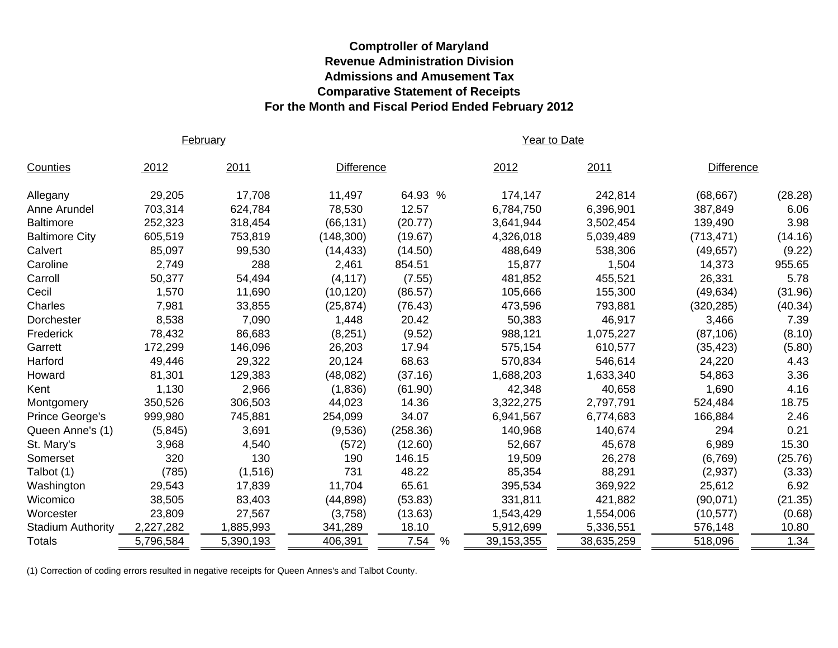## **Comptroller of Maryland Revenue Administration Division Admissions and Amusement Tax Comparative Statement of Receipts For the Month and Fiscal Period Ended February 2012**

February **Year to Date** 

| Counties                 | 2012      | 2011      | <b>Difference</b> |                       | 2012       | 2011       | <b>Difference</b> |         |
|--------------------------|-----------|-----------|-------------------|-----------------------|------------|------------|-------------------|---------|
| Allegany                 | 29,205    | 17,708    | 11,497            | 64.93 %               | 174,147    | 242,814    | (68, 667)         | (28.28) |
| Anne Arundel             | 703,314   | 624,784   | 78,530            | 12.57                 | 6,784,750  | 6,396,901  | 387,849           | 6.06    |
| <b>Baltimore</b>         | 252,323   | 318,454   | (66, 131)         | (20.77)               | 3,641,944  | 3,502,454  | 139,490           | 3.98    |
| <b>Baltimore City</b>    | 605,519   | 753,819   | (148, 300)        | (19.67)               | 4,326,018  | 5,039,489  | (713, 471)        | (14.16) |
| Calvert                  | 85,097    | 99,530    | (14, 433)         | (14.50)               | 488,649    | 538,306    | (49, 657)         | (9.22)  |
| Caroline                 | 2,749     | 288       | 2,461             | 854.51                | 15,877     | 1,504      | 14,373            | 955.65  |
| Carroll                  | 50,377    | 54,494    | (4, 117)          | (7.55)                | 481,852    | 455,521    | 26,331            | 5.78    |
| Cecil                    | 1,570     | 11,690    | (10, 120)         | (86.57)               | 105,666    | 155,300    | (49, 634)         | (31.96) |
| Charles                  | 7,981     | 33,855    | (25, 874)         | (76.43)               | 473,596    | 793,881    | (320, 285)        | (40.34) |
| Dorchester               | 8,538     | 7,090     | 1,448             | 20.42                 | 50,383     | 46,917     | 3,466             | 7.39    |
| Frederick                | 78,432    | 86,683    | (8,251)           | (9.52)                | 988,121    | 1,075,227  | (87, 106)         | (8.10)  |
| Garrett                  | 172,299   | 146,096   | 26,203            | 17.94                 | 575,154    | 610,577    | (35, 423)         | (5.80)  |
| Harford                  | 49,446    | 29,322    | 20,124            | 68.63                 | 570,834    | 546,614    | 24,220            | 4.43    |
| Howard                   | 81,301    | 129,383   | (48,082)          | (37.16)               | 1,688,203  | 1,633,340  | 54,863            | 3.36    |
| Kent                     | 1,130     | 2,966     | (1,836)           | (61.90)               | 42,348     | 40,658     | 1,690             | 4.16    |
| Montgomery               | 350,526   | 306,503   | 44,023            | 14.36                 | 3,322,275  | 2,797,791  | 524,484           | 18.75   |
| Prince George's          | 999,980   | 745,881   | 254,099           | 34.07                 | 6,941,567  | 6,774,683  | 166,884           | 2.46    |
| Queen Anne's (1)         | (5,845)   | 3,691     | (9,536)           | (258.36)              | 140,968    | 140,674    | 294               | 0.21    |
| St. Mary's               | 3,968     | 4,540     | (572)             | (12.60)               | 52,667     | 45,678     | 6,989             | 15.30   |
| Somerset                 | 320       | 130       | 190               | 146.15                | 19,509     | 26,278     | (6,769)           | (25.76) |
| Talbot (1)               | (785)     | (1,516)   | 731               | 48.22                 | 85,354     | 88,291     | (2,937)           | (3.33)  |
| Washington               | 29,543    | 17,839    | 11,704            | 65.61                 | 395,534    | 369,922    | 25,612            | 6.92    |
| Wicomico                 | 38,505    | 83,403    | (44, 898)         | (53.83)               | 331,811    | 421,882    | (90,071)          | (21.35) |
| Worcester                | 23,809    | 27,567    | (3,758)           | (13.63)               | 1,543,429  | 1,554,006  | (10, 577)         | (0.68)  |
| <b>Stadium Authority</b> | 2,227,282 | 1,885,993 | 341,289           | 18.10                 | 5,912,699  | 5,336,551  | 576,148           | 10.80   |
| <b>Totals</b>            | 5,796,584 | 5,390,193 | 406,391           | 7.54<br>$\frac{0}{0}$ | 39,153,355 | 38,635,259 | 518,096           | 1.34    |

(1) Correction of coding errors resulted in negative receipts for Queen Annes's and Talbot County.